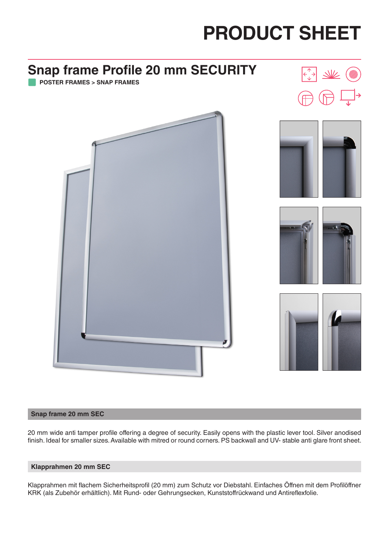

#### **Snap frame 20 mm SEC**

20 mm wide anti tamper profile offering a degree of security. Easily opens with the plastic lever tool. Silver anodised finish. Ideal for smaller sizes. Available with mitred or round corners. PS backwall and UV- stable anti glare front sheet.

#### **Klapprahmen 20 mm SEC**

Klapprahmen mit flachem Sicherheitsprofil (20 mm) zum Schutz vor Diebstahl. Einfaches Öffnen mit dem Profilöffner KRK (als Zubehör erhältlich). Mit Rund- oder Gehrungsecken, Kunststoffrückwand und Antireflexfolie.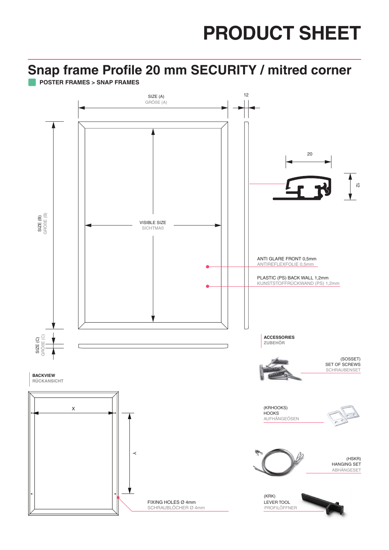### **Snap frame Profile 20 mm SECURITY / mitred corner**

**POSTER FRAMES > SNAP FRAMES**

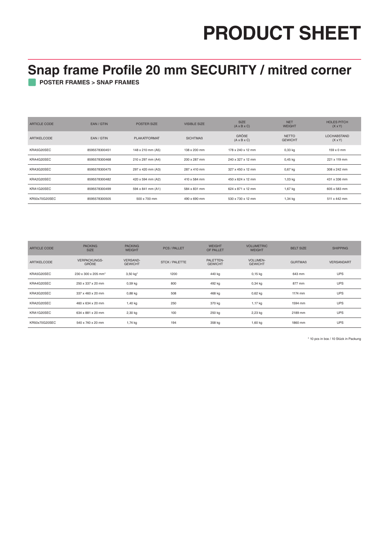### **Snap frame Profile 20 mm SECURITY / mitred corner**

**POSTER FRAMES > SNAP FRAMES**

| <b>ARTICLE CODE</b> | EAN/GTIN      | <b>POSTER SIZE</b>  | <b>VISIBLE SIZE</b> | <b>SIZE</b><br>$(A \times B \times C)$  | <b>NET</b><br><b>WEIGHT</b>    | <b>HOLES PITCH</b><br>$(X \times Y)$ |
|---------------------|---------------|---------------------|---------------------|-----------------------------------------|--------------------------------|--------------------------------------|
| <b>ARTIKELCODE</b>  | EAN / GTIN    | <b>PLAKATFORMAT</b> | <b>SICHTMAB</b>     | <b>GRÖßE</b><br>$(A \times B \times C)$ | <b>NETTO</b><br><b>GEWICHT</b> | <b>LOCHABSTAND</b><br>$(X \times Y)$ |
| KRA5G20SEC          | 8595578300451 | 148 x 210 mm (A5)   | 138 x 200 mm        | 178 x 240 x 12 mm                       | $0,33$ kg                      | $159 \times 0$ mm                    |
| KRA4G20SEC          | 8595578300468 | 210 x 297 mm (A4)   | 200 x 287 mm        | 240 x 327 x 12 mm                       | $0,45$ kg                      | 221 x 119 mm                         |
| KRA3G20SEC          | 8595578300475 | 297 x 420 mm (A3)   | 287 x 410 mm        | 327 x 450 x 12 mm                       | $0,67$ kg                      | 308 x 242 mm                         |
| KRA2G20SEC          | 8595578300482 | 420 x 594 mm (A2)   | 410 x 584 mm        | 450 x 624 x 12 mm                       | 1,03 kg                        | 431 x 336 mm                         |
| KRA1G20SEC          | 8595578300499 | 594 x 841 mm (A1)   | 584 x 831 mm        | 624 x 871 x 12 mm                       | 1,67 kg                        | 605 x 583 mm                         |
| KR50x70G20SEC       | 8595578300505 | 500 x 700 mm        | 490 x 690 mm        | 530 x 730 x 12 mm                       | 1,34 kg                        | 511 x 442 mm                         |

| <b>ARTICLE CODE</b> | <b>PACKING</b><br><b>SIZE</b> | <b>PACKING</b><br><b>WEIGHT</b>   | <b>PCS / PALLET</b>   | <b>WEIGHT</b><br>OF PALLET  | <b>VOLUMETRIC</b><br><b>WEIGHT</b> | <b>BELT SIZE</b> | <b>SHIPPING</b>   |
|---------------------|-------------------------------|-----------------------------------|-----------------------|-----------------------------|------------------------------------|------------------|-------------------|
| <b>ARTIKELCODE</b>  | <b>VERPACKUNGS-</b><br>GRÖßE  | <b>VERSAND-</b><br><b>GEWICHT</b> | <b>STCK / PALETTE</b> | PALETTEN-<br><b>GEWICHT</b> | <b>VOLUMEN-</b><br><b>GEWICHT</b>  | <b>GURTMAß</b>   | <b>VERSANDART</b> |
| KRA5G20SEC          | 230 x 300 x 205 mm*           | 3,50 kg*                          | 1200                  | 440 kg                      | $0,15$ kg                          | 643 mm           | <b>UPS</b>        |
| KRA4G20SEC          | 250 x 337 x 20 mm             | $0,59$ kg                         | 800                   | 492 kg                      | $0,34$ kg                          | 877 mm           | <b>UPS</b>        |
| KRA3G20SEC          | 337 x 460 x 20 mm             | $0,88$ kg                         | 508                   | 468 kg                      | $0,62$ kg                          | 1174 mm          | <b>UPS</b>        |
| KRA2G20SEC          | 460 x 634 x 20 mm             | $1,40$ kg                         | 250                   | 370 kg                      | 1,17 kg                            | 1594 mm          | <b>UPS</b>        |
| KRA1G20SEC          | 634 x 881 x 20 mm             | 2,30 kg                           | 100                   | 250 kg                      | 2,23 kg                            | 2189 mm          | <b>UPS</b>        |
| KR50x70G20SEC       | 540 x 740 x 20 mm             | 1,74 kg                           | 194                   | 358 kg                      | 1,60 kg                            | 1860 mm          | <b>UPS</b>        |

\* 10 pcs in box / 10 Stück in Packung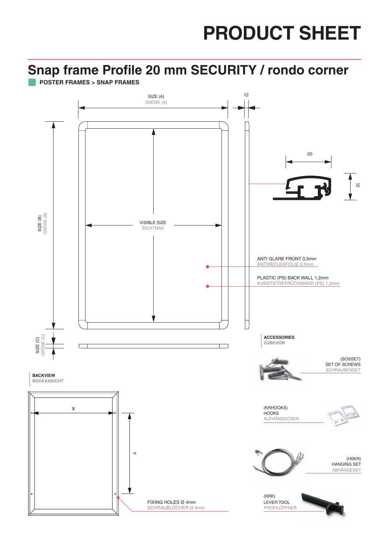#### **Snap frame Profile 20 mm SECURITY / rondo corner**

**POSTER FRAMES > SNAP FRAMES**